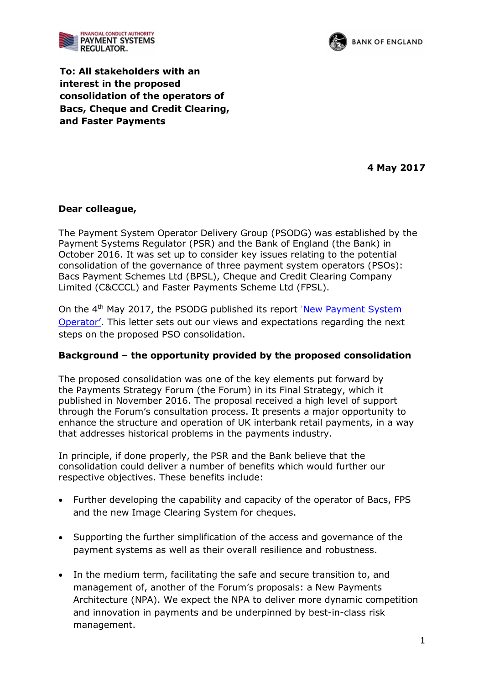



o **To: All stakeholders with an interest in the proposed consolidation of the operators of Bacs, Cheque and Credit Clearing, and Faster Payments** 

**4 May 2017**

## **Dear colleague,**

The Payment System Operator Delivery Group (PSODG) was established by the Payment Systems Regulator (PSR) and the Bank of England (the Bank) in October 2016. It was set up to consider key issues relating to the potential consolidation of the governance of three payment system operators (PSOs): Bacs Payment Schemes Ltd (BPSL), Cheque and Credit Clearing Company Limited (C&CCCL) and Faster Payments Scheme Ltd (FPSL).

On the 4<sup>th</sup> May 2017, the PSODG published its report *New Payment System* Operator'. This letter sets out our views and expectations regarding the next steps on the proposed PSO consolidation.

#### **Background – the opportunity provided by the proposed consolidation**

The proposed consolidation was one of the key elements put forward by the Payments Strategy Forum (the Forum) in its [Final Strategy,](https://paymentsforum.uk/sites/default/files/documents/A Payments Strategy for the 21st Century - Putting the needs of users first_0.pdf) which it published in November 2016. The proposal received a high level of support through the Forum's consultation process. It presents a major opportunity to enhance the structure and operation of UK interbank retail payments, in a way that addresses historical problems in the payments industry.

In principle, if done properly, the PSR and the Bank believe that the consolidation could deliver a number of benefits which would further our respective objectives. These benefits include:

- Further developing the capability and capacity of the operator of Bacs, FPS and the new Image Clearing System for cheques.
- Supporting the further simplification of the access and governance of the payment systems as well as their overall resilience and robustness.
- In the medium term, facilitating the safe and secure transition to, and management of, another of the Forum's proposals: a New Payments Architecture (NPA). We expect the NPA to deliver more dynamic competition and innovation in payments and be underpinned by best-in-class risk management.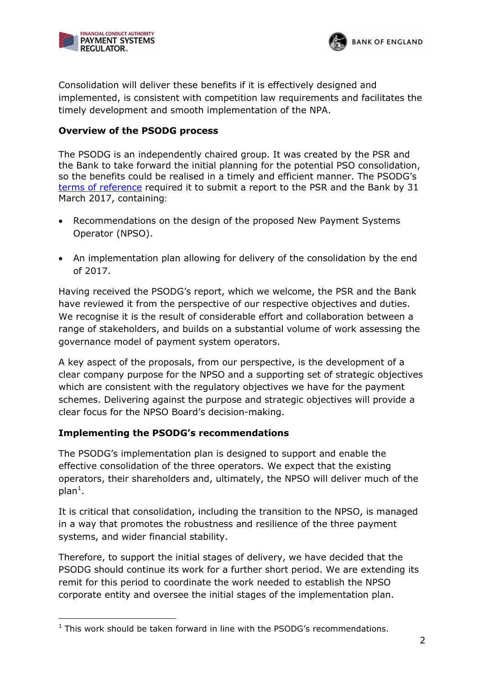



Consolidation will deliver these benefits if it is effectively designed and implemented, is consistent with competition law requirements and facilitates the timely development and smooth implementation of the NPA.

# **Overview of the PSODG process**

The PSODG is an independently chaired group. It was created by the PSR and the Bank to take forward the initial planning for the potential PSO consolidation, so the benefits could be realised in a timely and efficient manner. The PSODG's [terms of reference](https://www.psr.org.uk/sites/default/files/media/PDF/PSODG-Terms-of-Reference.pdf) required it to submit a report to the PSR and the Bank by 31 March 2017, containing:

- Recommendations on the design of the proposed New Payment Systems Operator (NPSO).
- An implementation plan allowing for delivery of the consolidation by the end of 2017.

Having received the PSODG's report, which we welcome, the PSR and the Bank have reviewed it from the perspective of our respective objectives and duties. We recognise it is the result of considerable effort and collaboration between a range of stakeholders, and builds on a substantial volume of work assessing the governance model of payment system operators.

A key aspect of the proposals, from our perspective, is the development of a clear company purpose for the NPSO and a supporting set of strategic objectives which are consistent with the regulatory objectives we have for the payment schemes. Delivering against the purpose and strategic objectives will provide a clear focus for the NPSO Board's decision-making.

## **Implementing the PSODG's recommendations**

-

The PSODG's implementation plan is designed to support and enable the effective consolidation of the three operators. We expect that the existing operators, their shareholders and, ultimately, the NPSO will deliver much of the plan<sup>1</sup>.

It is critical that consolidation, including the transition to the NPSO, is managed in a way that promotes the robustness and resilience of the three payment systems, and wider financial stability.

Therefore, to support the initial stages of delivery, we have decided that the PSODG should continue its work for a further short period. We are extending its remit for this period to coordinate the work needed to establish the NPSO corporate entity and oversee the initial stages of the implementation plan.

 $<sup>1</sup>$  This work should be taken forward in line with the PSODG's recommendations.</sup>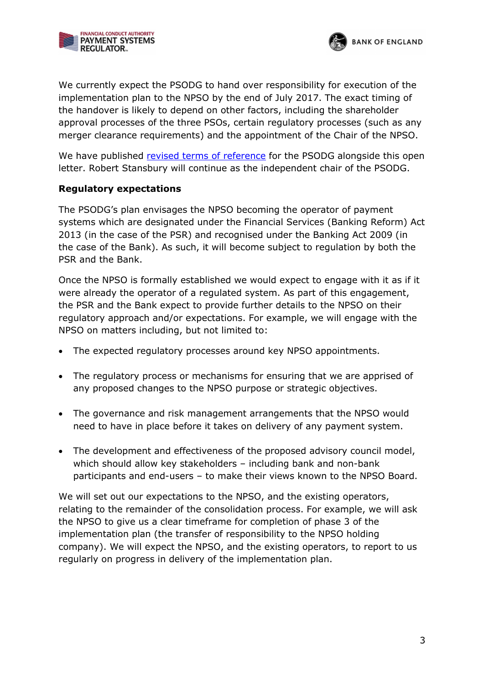



We currently expect the PSODG to hand over responsibility for execution of the implementation plan to the NPSO by the end of July 2017. The exact timing of the handover is likely to depend on other factors, including the shareholder approval processes of the three PSOs, certain regulatory processes (such as any merger clearance requirements) and the appointment of the Chair of the NPSO.

We have published [revised terms of reference](https://www.psr.org.uk/sites/default/files/media/PDF/PSODG-Revised-Terms-of-Reference.pdf) for the PSODG alongside this open letter. Robert Stansbury will continue as the independent chair of the PSODG.

# **Regulatory expectations**

The PSODG's plan envisages the NPSO becoming the operator of payment systems which are designated under the Financial Services (Banking Reform) Act 2013 (in the case of the PSR) and recognised under the Banking Act 2009 (in the case of the Bank). As such, it will become subject to regulation by both the PSR and the Bank.

Once the NPSO is formally established we would expect to engage with it as if it were already the operator of a regulated system. As part of this engagement, the PSR and the Bank expect to provide further details to the NPSO on their regulatory approach and/or expectations. For example, we will engage with the NPSO on matters including, but not limited to:

- The expected regulatory processes around key NPSO appointments.
- The regulatory process or mechanisms for ensuring that we are apprised of any proposed changes to the NPSO purpose or strategic objectives.
- The governance and risk management arrangements that the NPSO would need to have in place before it takes on delivery of any payment system.
- The development and effectiveness of the proposed advisory council model, which should allow key stakeholders – including bank and non-bank participants and end-users – to make their views known to the NPSO Board.

We will set out our expectations to the NPSO, and the existing operators, relating to the remainder of the consolidation process. For example, we will ask the NPSO to give us a clear timeframe for completion of phase 3 of the implementation plan (the transfer of responsibility to the NPSO holding company). We will expect the NPSO, and the existing operators, to report to us regularly on progress in delivery of the implementation plan.